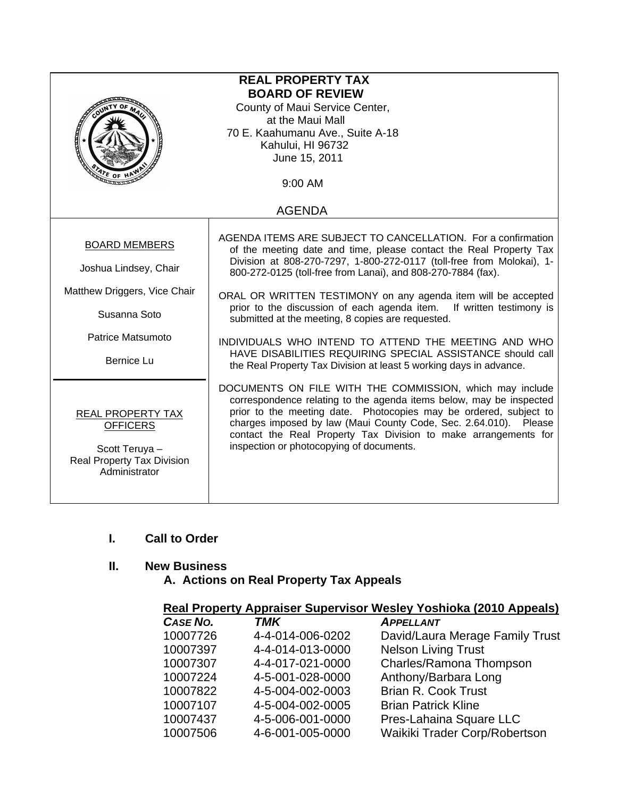| <b>REAL PROPERTY TAX</b><br><b>BOARD OF REVIEW</b><br>County of Maui Service Center,<br>at the Maui Mall<br>70 E. Kaahumanu Ave., Suite A-18<br>Kahului, HI 96732<br>June 15, 2011<br>ATE OF H<br>9:00 AM |                                                                                                                                                                                                                                                                                                                                                                                                                                                                                                                                                                                                                                                                       |  |
|-----------------------------------------------------------------------------------------------------------------------------------------------------------------------------------------------------------|-----------------------------------------------------------------------------------------------------------------------------------------------------------------------------------------------------------------------------------------------------------------------------------------------------------------------------------------------------------------------------------------------------------------------------------------------------------------------------------------------------------------------------------------------------------------------------------------------------------------------------------------------------------------------|--|
| <b>AGENDA</b>                                                                                                                                                                                             |                                                                                                                                                                                                                                                                                                                                                                                                                                                                                                                                                                                                                                                                       |  |
| <b>BOARD MEMBERS</b><br>Joshua Lindsey, Chair<br>Matthew Driggers, Vice Chair<br>Susanna Soto<br>Patrice Matsumoto<br><b>Bernice Lu</b>                                                                   | AGENDA ITEMS ARE SUBJECT TO CANCELLATION. For a confirmation<br>of the meeting date and time, please contact the Real Property Tax<br>Division at 808-270-7297, 1-800-272-0117 (toll-free from Molokai), 1-<br>800-272-0125 (toll-free from Lanai), and 808-270-7884 (fax).<br>ORAL OR WRITTEN TESTIMONY on any agenda item will be accepted<br>prior to the discussion of each agenda item. If written testimony is<br>submitted at the meeting, 8 copies are requested.<br>INDIVIDUALS WHO INTEND TO ATTEND THE MEETING AND WHO<br>HAVE DISABILITIES REQUIRING SPECIAL ASSISTANCE should call<br>the Real Property Tax Division at least 5 working days in advance. |  |
| REAL PROPERTY TAX<br><b>OFFICERS</b><br>Scott Teruya -<br><b>Real Property Tax Division</b><br>Administrator                                                                                              | DOCUMENTS ON FILE WITH THE COMMISSION, which may include<br>correspondence relating to the agenda items below, may be inspected<br>prior to the meeting date. Photocopies may be ordered, subject to<br>charges imposed by law (Maui County Code, Sec. 2.64.010). Please<br>contact the Real Property Tax Division to make arrangements for<br>inspection or photocopying of documents.                                                                                                                                                                                                                                                                               |  |

# **I. Call to Order**

## **II. New Business**

 **A. Actions on Real Property Tax Appeals** 

| CASE NO. | <b>TMK</b>       | <b>APPELLANT</b>                |
|----------|------------------|---------------------------------|
| 10007726 | 4-4-014-006-0202 | David/Laura Merage Family Trust |
| 10007397 | 4-4-014-013-0000 | <b>Nelson Living Trust</b>      |
| 10007307 | 4-4-017-021-0000 | Charles/Ramona Thompson         |
| 10007224 | 4-5-001-028-0000 | Anthony/Barbara Long            |
| 10007822 | 4-5-004-002-0003 | <b>Brian R. Cook Trust</b>      |
| 10007107 | 4-5-004-002-0005 | <b>Brian Patrick Kline</b>      |
| 10007437 | 4-5-006-001-0000 | Pres-Lahaina Square LLC         |
| 10007506 | 4-6-001-005-0000 | Waikiki Trader Corp/Robertson   |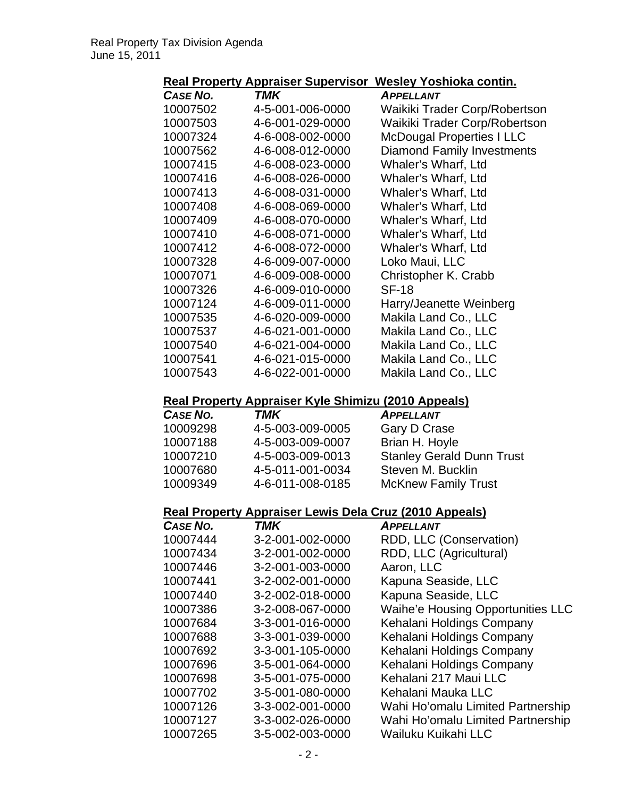## **Real Property Appraiser Supervisor Wesley Yoshioka contin.**

| CASE NO. | TMK              | <b>APPELLANT</b>                  |
|----------|------------------|-----------------------------------|
| 10007502 | 4-5-001-006-0000 | Waikiki Trader Corp/Robertson     |
| 10007503 | 4-6-001-029-0000 | Waikiki Trader Corp/Robertson     |
| 10007324 | 4-6-008-002-0000 | <b>McDougal Properties I LLC</b>  |
| 10007562 | 4-6-008-012-0000 | <b>Diamond Family Investments</b> |
| 10007415 | 4-6-008-023-0000 | Whaler's Wharf, Ltd               |
| 10007416 | 4-6-008-026-0000 | Whaler's Wharf, Ltd               |
| 10007413 | 4-6-008-031-0000 | Whaler's Wharf, Ltd               |
| 10007408 | 4-6-008-069-0000 | Whaler's Wharf, Ltd               |
| 10007409 | 4-6-008-070-0000 | Whaler's Wharf, Ltd               |
| 10007410 | 4-6-008-071-0000 | Whaler's Wharf, Ltd               |
| 10007412 | 4-6-008-072-0000 | Whaler's Wharf, Ltd               |
| 10007328 | 4-6-009-007-0000 | Loko Maui, LLC                    |
| 10007071 | 4-6-009-008-0000 | Christopher K. Crabb              |
| 10007326 | 4-6-009-010-0000 | <b>SF-18</b>                      |
| 10007124 | 4-6-009-011-0000 | Harry/Jeanette Weinberg           |
| 10007535 | 4-6-020-009-0000 | Makila Land Co., LLC              |
| 10007537 | 4-6-021-001-0000 | Makila Land Co., LLC              |
| 10007540 | 4-6-021-004-0000 | Makila Land Co., LLC              |
| 10007541 | 4-6-021-015-0000 | Makila Land Co., LLC              |
| 10007543 | 4-6-022-001-0000 | Makila Land Co., LLC              |
|          |                  |                                   |

## **Real Property Appraiser Kyle Shimizu (2010 Appeals)**

| <b>TMK</b>       | <b>APPELLANT</b>                 |
|------------------|----------------------------------|
| 4-5-003-009-0005 | Gary D Crase                     |
| 4-5-003-009-0007 | Brian H. Hoyle                   |
| 4-5-003-009-0013 | <b>Stanley Gerald Dunn Trust</b> |
| 4-5-011-001-0034 | Steven M. Bucklin                |
| 4-6-011-008-0185 | <b>McKnew Family Trust</b>       |
|                  |                                  |

## **Real Property Appraiser Lewis Dela Cruz (2010 Appeals)**

| CASE NO. | <b>TMK</b>       | <b>APPELLANT</b>                         |
|----------|------------------|------------------------------------------|
| 10007444 | 3-2-001-002-0000 | RDD, LLC (Conservation)                  |
| 10007434 | 3-2-001-002-0000 | RDD, LLC (Agricultural)                  |
| 10007446 | 3-2-001-003-0000 | Aaron, LLC                               |
| 10007441 | 3-2-002-001-0000 | Kapuna Seaside, LLC                      |
| 10007440 | 3-2-002-018-0000 | Kapuna Seaside, LLC                      |
| 10007386 | 3-2-008-067-0000 | <b>Waihe'e Housing Opportunities LLC</b> |
| 10007684 | 3-3-001-016-0000 | Kehalani Holdings Company                |
| 10007688 | 3-3-001-039-0000 | Kehalani Holdings Company                |
| 10007692 | 3-3-001-105-0000 | Kehalani Holdings Company                |
| 10007696 | 3-5-001-064-0000 | Kehalani Holdings Company                |
| 10007698 | 3-5-001-075-0000 | Kehalani 217 Maui LLC                    |
| 10007702 | 3-5-001-080-0000 | Kehalani Mauka LLC                       |
| 10007126 | 3-3-002-001-0000 | Wahi Ho'omalu Limited Partnership        |
| 10007127 | 3-3-002-026-0000 | Wahi Ho'omalu Limited Partnership        |
| 10007265 | 3-5-002-003-0000 | Wailuku Kuikahi LLC                      |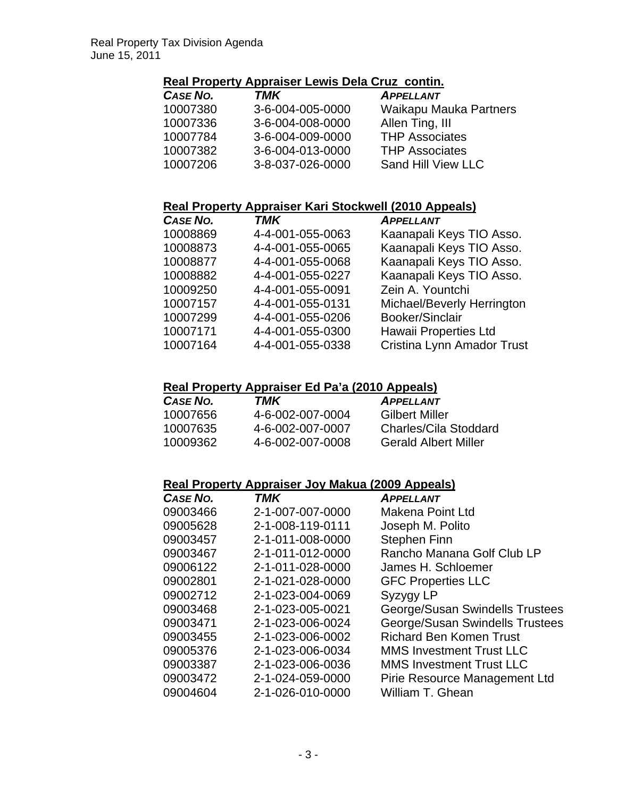#### **Real Property Appraiser Lewis Dela Cruz contin.**

| CASE NO. | TMK              | <b>APPELLANT</b>       |
|----------|------------------|------------------------|
| 10007380 | 3-6-004-005-0000 | Waikapu Mauka Partners |
| 10007336 | 3-6-004-008-0000 | Allen Ting, III        |
| 10007784 | 3-6-004-009-0000 | <b>THP Associates</b>  |
| 10007382 | 3-6-004-013-0000 | <b>THP Associates</b>  |
| 10007206 | 3-8-037-026-0000 | Sand Hill View LLC     |

## **Real Property Appraiser Kari Stockwell (2010 Appeals)**

| Kaanapali Keys TIO Asso.   |
|----------------------------|
|                            |
| Kaanapali Keys TIO Asso.   |
| Kaanapali Keys TIO Asso.   |
| Kaanapali Keys TIO Asso.   |
|                            |
| Michael/Beverly Herrington |
|                            |
|                            |
| Cristina Lynn Amador Trust |
|                            |

#### **Real Property Appraiser Ed Pa'a (2010 Appeals)**

| CASE NO. | TMK              | <b>APPELLANT</b>            |
|----------|------------------|-----------------------------|
| 10007656 | 4-6-002-007-0004 | <b>Gilbert Miller</b>       |
| 10007635 | 4-6-002-007-0007 | Charles/Cila Stoddard       |
| 10009362 | 4-6-002-007-0008 | <b>Gerald Albert Miller</b> |

## **Real Property Appraiser Joy Makua (2009 Appeals)**

| <b>CASE NO.</b> | TMK              | <b>APPELLANT</b>                |
|-----------------|------------------|---------------------------------|
| 09003466        | 2-1-007-007-0000 | Makena Point Ltd                |
| 09005628        | 2-1-008-119-0111 | Joseph M. Polito                |
| 09003457        | 2-1-011-008-0000 | <b>Stephen Finn</b>             |
| 09003467        | 2-1-011-012-0000 | Rancho Manana Golf Club LP      |
| 09006122        | 2-1-011-028-0000 | James H. Schloemer              |
| 09002801        | 2-1-021-028-0000 | <b>GFC Properties LLC</b>       |
| 09002712        | 2-1-023-004-0069 | Syzygy LP                       |
| 09003468        | 2-1-023-005-0021 | George/Susan Swindells Trustees |
| 09003471        | 2-1-023-006-0024 | George/Susan Swindells Trustees |
| 09003455        | 2-1-023-006-0002 | <b>Richard Ben Komen Trust</b>  |
| 09005376        | 2-1-023-006-0034 | <b>MMS Investment Trust LLC</b> |
| 09003387        | 2-1-023-006-0036 | <b>MMS Investment Trust LLC</b> |
| 09003472        | 2-1-024-059-0000 | Pirie Resource Management Ltd   |
| 09004604        | 2-1-026-010-0000 | William T. Ghean                |